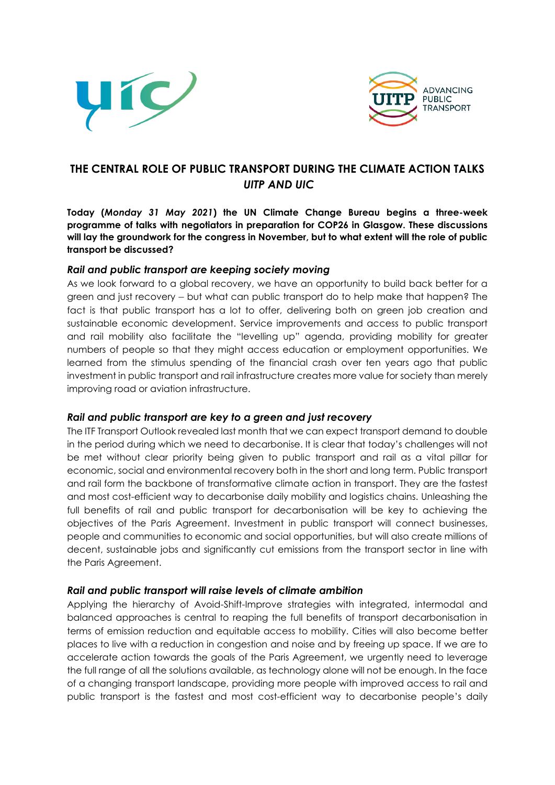



## **THE CENTRAL ROLE OF PUBLIC TRANSPORT DURING THE CLIMATE ACTION TALKS** *UITP AND UIC*

**Today (***Monday 31 May 2021***) the UN Climate Change Bureau begins a three-week programme of talks with negotiators in preparation for COP26 in Glasgow. These discussions will lay the groundwork for the congress in November, but to what extent will the role of public transport be discussed?**

## *Rail and public transport are keeping society moving*

As we look forward to a global recovery, we have an opportunity to build back better for a green and just recovery – but what can public transport do to help make that happen? The fact is that public transport has a lot to offer, delivering both on green job creation and sustainable economic development. Service improvements and access to public transport and rail mobility also facilitate the "levelling up" agenda, providing mobility for greater numbers of people so that they might access education or employment opportunities. We learned from the stimulus spending of the financial crash over ten years ago that public investment in public transport and rail infrastructure creates more value for society than merely improving road or aviation infrastructure.

## *Rail and public transport are key to a green and just recovery*

The ITF Transport Outlook revealed last month that we can expect transport demand to double in the period during which we need to decarbonise. It is clear that today's challenges will not be met without clear priority being given to public transport and rail as a vital pillar for economic, social and environmental recovery both in the short and long term. Public transport and rail form the backbone of transformative climate action in transport. They are the fastest and most cost-efficient way to decarbonise daily mobility and logistics chains. Unleashing the full benefits of rail and public transport for decarbonisation will be key to achieving the objectives of the Paris Agreement. Investment in public transport will connect businesses, people and communities to economic and social opportunities, but will also create millions of decent, sustainable jobs and significantly cut emissions from the transport sector in line with the Paris Agreement.

## *Rail and public transport will raise levels of climate ambition*

Applying the hierarchy of Avoid-Shift-Improve strategies with integrated, intermodal and balanced approaches is central to reaping the full benefits of transport decarbonisation in terms of emission reduction and equitable access to mobility. Cities will also become better places to live with a reduction in congestion and noise and by freeing up space. If we are to accelerate action towards the goals of the Paris Agreement, we urgently need to leverage the full range of all the solutions available, as technology alone will not be enough. In the face of a changing transport landscape, providing more people with improved access to rail and public transport is the fastest and most cost-efficient way to decarbonise people's daily